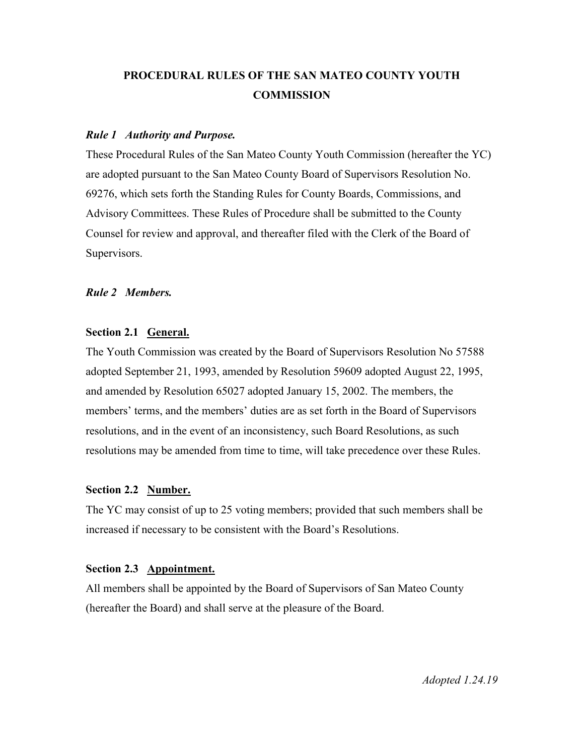# **PROCEDURAL RULES OF THE SAN MATEO COUNTY YOUTH COMMISSION**

#### *Rule 1 Authority and Purpose.*

These Procedural Rules of the San Mateo County Youth Commission (hereafter the YC) are adopted pursuant to the San Mateo County Board of Supervisors Resolution No. 69276, which sets forth the Standing Rules for County Boards, Commissions, and Advisory Committees. These Rules of Procedure shall be submitted to the County Counsel for review and approval, and thereafter filed with the Clerk of the Board of Supervisors.

#### *Rule 2 Members.*

## **Section 2.1 General.**

The Youth Commission was created by the Board of Supervisors Resolution No 57588 adopted September 21, 1993, amended by Resolution 59609 adopted August 22, 1995, and amended by Resolution 65027 adopted January 15, 2002. The members, the members' terms, and the members' duties are as set forth in the Board of Supervisors resolutions, and in the event of an inconsistency, such Board Resolutions, as such resolutions may be amended from time to time, will take precedence over these Rules.

## **Section 2.2 Number.**

The YC may consist of up to 25 voting members; provided that such members shall be increased if necessary to be consistent with the Board's Resolutions.

#### **Section 2.3 Appointment.**

All members shall be appointed by the Board of Supervisors of San Mateo County (hereafter the Board) and shall serve at the pleasure of the Board.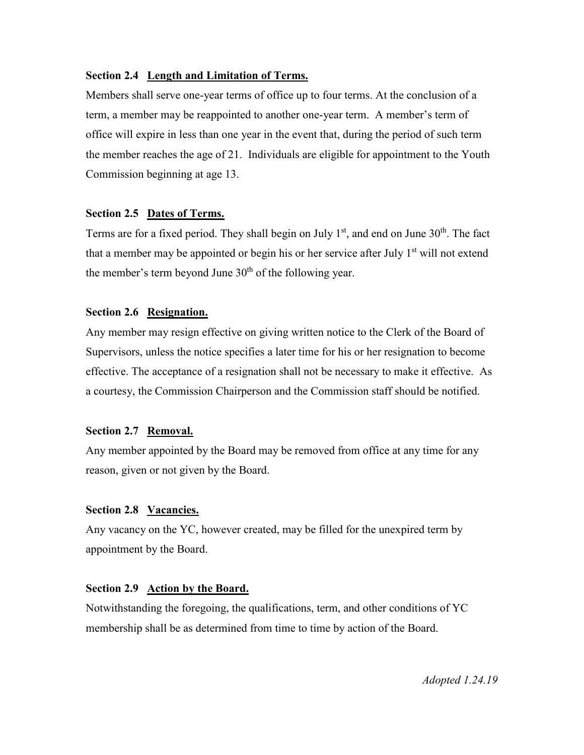### **Section 2.4 Length and Limitation of Terms.**

Members shall serve one-year terms of office up to four terms. At the conclusion of a term, a member may be reappointed to another one-year term. A member's term of office will expire in less than one year in the event that, during the period of such term the member reaches the age of 21. Individuals are eligible for appointment to the Youth Commission beginning at age 13.

#### **Section 2.5 Dates of Terms.**

Terms are for a fixed period. They shall begin on July  $1<sup>st</sup>$ , and end on June  $30<sup>th</sup>$ . The fact that a member may be appointed or begin his or her service after July  $1<sup>st</sup>$  will not extend the member's term beyond June  $30<sup>th</sup>$  of the following year.

#### **Section 2.6 Resignation.**

Any member may resign effective on giving written notice to the Clerk of the Board of Supervisors, unless the notice specifies a later time for his or her resignation to become effective. The acceptance of a resignation shall not be necessary to make it effective. As a courtesy, the Commission Chairperson and the Commission staff should be notified.

#### **Section 2.7 Removal.**

Any member appointed by the Board may be removed from office at any time for any reason, given or not given by the Board.

#### **Section 2.8 Vacancies.**

Any vacancy on the YC, however created, may be filled for the unexpired term by appointment by the Board.

#### **Section 2.9 Action by the Board.**

Notwithstanding the foregoing, the qualifications, term, and other conditions of YC membership shall be as determined from time to time by action of the Board.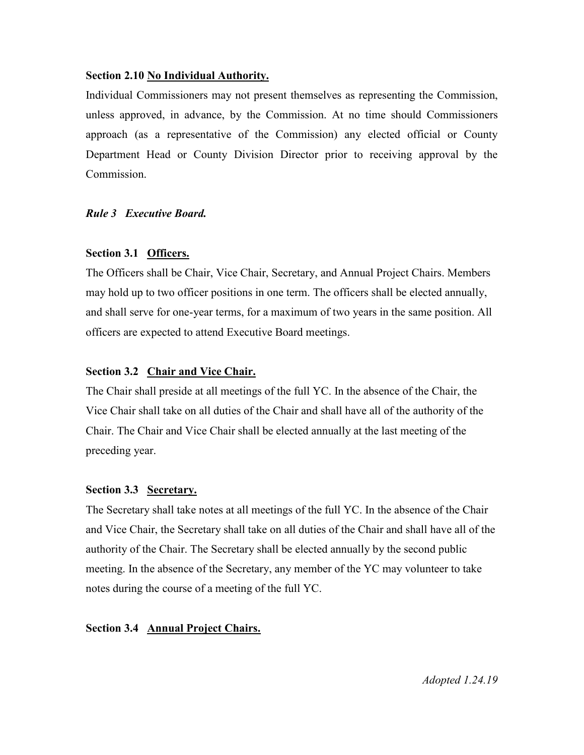#### **Section 2.10 No Individual Authority.**

Individual Commissioners may not present themselves as representing the Commission, unless approved, in advance, by the Commission. At no time should Commissioners approach (as a representative of the Commission) any elected official or County Department Head or County Division Director prior to receiving approval by the Commission.

## *Rule 3 Executive Board.*

#### **Section 3.1 Officers.**

The Officers shall be Chair, Vice Chair, Secretary, and Annual Project Chairs. Members may hold up to two officer positions in one term. The officers shall be elected annually, and shall serve for one-year terms, for a maximum of two years in the same position. All officers are expected to attend Executive Board meetings.

## **Section 3.2 Chair and Vice Chair.**

The Chair shall preside at all meetings of the full YC. In the absence of the Chair, the Vice Chair shall take on all duties of the Chair and shall have all of the authority of the Chair. The Chair and Vice Chair shall be elected annually at the last meeting of the preceding year.

## **Section 3.3 Secretary.**

The Secretary shall take notes at all meetings of the full YC. In the absence of the Chair and Vice Chair, the Secretary shall take on all duties of the Chair and shall have all of the authority of the Chair. The Secretary shall be elected annually by the second public meeting. In the absence of the Secretary, any member of the YC may volunteer to take notes during the course of a meeting of the full YC.

## **Section 3.4 Annual Project Chairs.**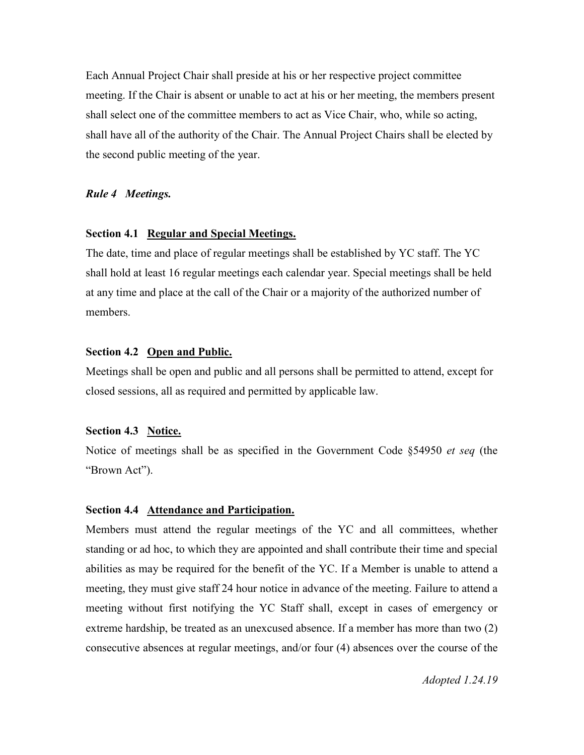Each Annual Project Chair shall preside at his or her respective project committee meeting. If the Chair is absent or unable to act at his or her meeting, the members present shall select one of the committee members to act as Vice Chair, who, while so acting, shall have all of the authority of the Chair. The Annual Project Chairs shall be elected by the second public meeting of the year.

#### *Rule 4 Meetings.*

#### **Section 4.1 Regular and Special Meetings.**

The date, time and place of regular meetings shall be established by YC staff. The YC shall hold at least 16 regular meetings each calendar year. Special meetings shall be held at any time and place at the call of the Chair or a majority of the authorized number of members.

#### **Section 4.2 Open and Public.**

Meetings shall be open and public and all persons shall be permitted to attend, except for closed sessions, all as required and permitted by applicable law.

#### **Section 4.3 Notice.**

Notice of meetings shall be as specified in the Government Code §54950 *et seq* (the "Brown Act").

#### **Section 4.4 Attendance and Participation.**

Members must attend the regular meetings of the YC and all committees, whether standing or ad hoc, to which they are appointed and shall contribute their time and special abilities as may be required for the benefit of the YC. If a Member is unable to attend a meeting, they must give staff 24 hour notice in advance of the meeting. Failure to attend a meeting without first notifying the YC Staff shall, except in cases of emergency or extreme hardship, be treated as an unexcused absence. If a member has more than two (2) consecutive absences at regular meetings, and/or four (4) absences over the course of the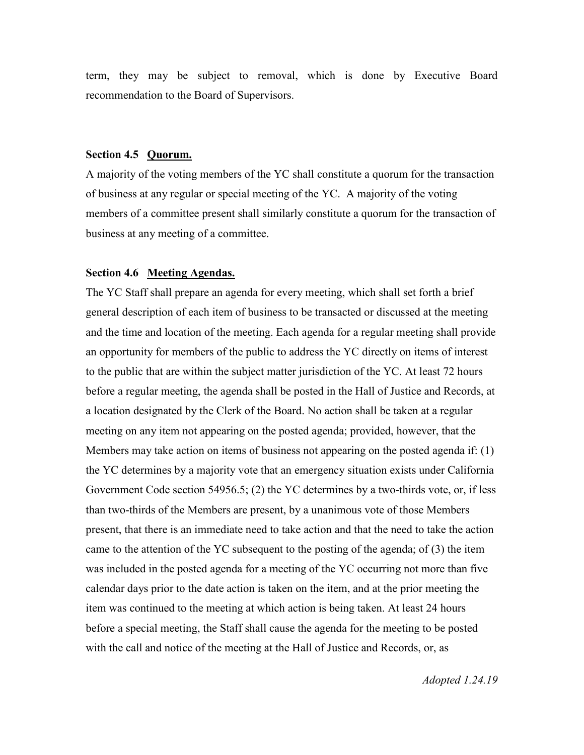term, they may be subject to removal, which is done by Executive Board recommendation to the Board of Supervisors.

#### **Section 4.5 Quorum.**

A majority of the voting members of the YC shall constitute a quorum for the transaction of business at any regular or special meeting of the YC. A majority of the voting members of a committee present shall similarly constitute a quorum for the transaction of business at any meeting of a committee.

#### **Section 4.6 Meeting Agendas.**

The YC Staff shall prepare an agenda for every meeting, which shall set forth a brief general description of each item of business to be transacted or discussed at the meeting and the time and location of the meeting. Each agenda for a regular meeting shall provide an opportunity for members of the public to address the YC directly on items of interest to the public that are within the subject matter jurisdiction of the YC. At least 72 hours before a regular meeting, the agenda shall be posted in the Hall of Justice and Records, at a location designated by the Clerk of the Board. No action shall be taken at a regular meeting on any item not appearing on the posted agenda; provided, however, that the Members may take action on items of business not appearing on the posted agenda if: (1) the YC determines by a majority vote that an emergency situation exists under California Government Code section 54956.5; (2) the YC determines by a two-thirds vote, or, if less than two-thirds of the Members are present, by a unanimous vote of those Members present, that there is an immediate need to take action and that the need to take the action came to the attention of the YC subsequent to the posting of the agenda; of (3) the item was included in the posted agenda for a meeting of the YC occurring not more than five calendar days prior to the date action is taken on the item, and at the prior meeting the item was continued to the meeting at which action is being taken. At least 24 hours before a special meeting, the Staff shall cause the agenda for the meeting to be posted with the call and notice of the meeting at the Hall of Justice and Records, or, as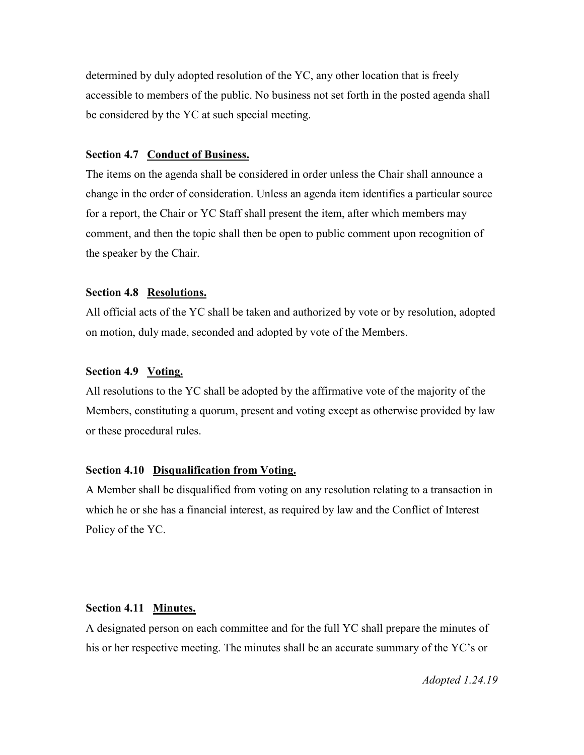determined by duly adopted resolution of the YC, any other location that is freely accessible to members of the public. No business not set forth in the posted agenda shall be considered by the YC at such special meeting.

## **Section 4.7 Conduct of Business.**

The items on the agenda shall be considered in order unless the Chair shall announce a change in the order of consideration. Unless an agenda item identifies a particular source for a report, the Chair or YC Staff shall present the item, after which members may comment, and then the topic shall then be open to public comment upon recognition of the speaker by the Chair.

#### **Section 4.8 Resolutions.**

All official acts of the YC shall be taken and authorized by vote or by resolution, adopted on motion, duly made, seconded and adopted by vote of the Members.

## **Section 4.9 Voting.**

All resolutions to the YC shall be adopted by the affirmative vote of the majority of the Members, constituting a quorum, present and voting except as otherwise provided by law or these procedural rules.

#### **Section 4.10 Disqualification from Voting.**

A Member shall be disqualified from voting on any resolution relating to a transaction in which he or she has a financial interest, as required by law and the Conflict of Interest Policy of the YC.

## **Section 4.11 Minutes.**

A designated person on each committee and for the full YC shall prepare the minutes of his or her respective meeting. The minutes shall be an accurate summary of the YC's or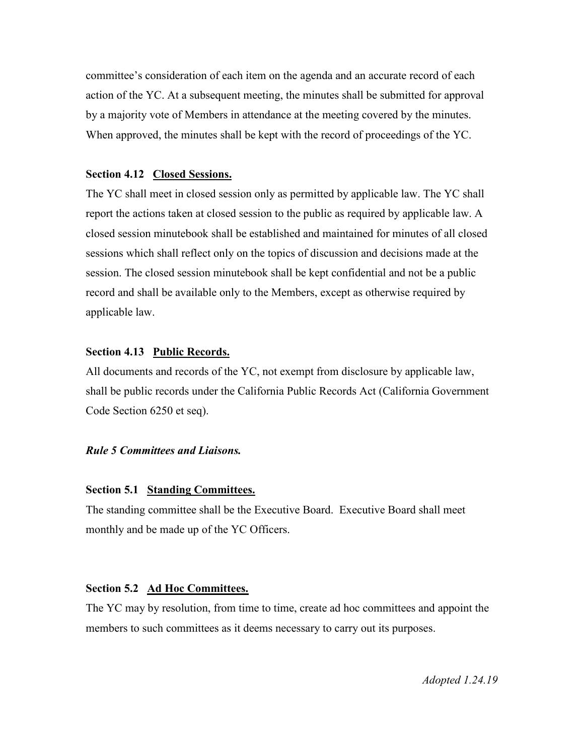committee's consideration of each item on the agenda and an accurate record of each action of the YC. At a subsequent meeting, the minutes shall be submitted for approval by a majority vote of Members in attendance at the meeting covered by the minutes. When approved, the minutes shall be kept with the record of proceedings of the YC.

#### **Section 4.12 Closed Sessions.**

The YC shall meet in closed session only as permitted by applicable law. The YC shall report the actions taken at closed session to the public as required by applicable law. A closed session minutebook shall be established and maintained for minutes of all closed sessions which shall reflect only on the topics of discussion and decisions made at the session. The closed session minutebook shall be kept confidential and not be a public record and shall be available only to the Members, except as otherwise required by applicable law.

#### **Section 4.13 Public Records.**

All documents and records of the YC, not exempt from disclosure by applicable law, shall be public records under the California Public Records Act (California Government Code Section 6250 et seq).

#### *Rule 5 Committees and Liaisons.*

#### **Section 5.1 Standing Committees.**

The standing committee shall be the Executive Board. Executive Board shall meet monthly and be made up of the YC Officers.

#### **Section 5.2 Ad Hoc Committees.**

The YC may by resolution, from time to time, create ad hoc committees and appoint the members to such committees as it deems necessary to carry out its purposes.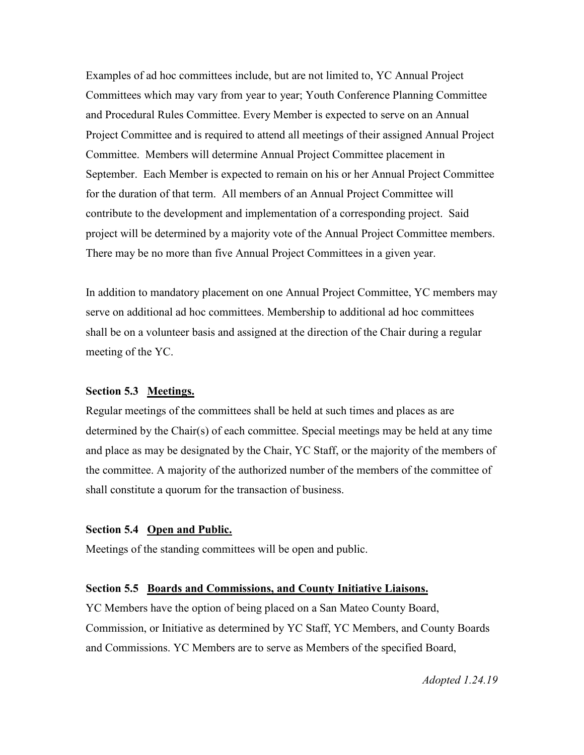Examples of ad hoc committees include, but are not limited to, YC Annual Project Committees which may vary from year to year; Youth Conference Planning Committee and Procedural Rules Committee. Every Member is expected to serve on an Annual Project Committee and is required to attend all meetings of their assigned Annual Project Committee. Members will determine Annual Project Committee placement in September. Each Member is expected to remain on his or her Annual Project Committee for the duration of that term. All members of an Annual Project Committee will contribute to the development and implementation of a corresponding project. Said project will be determined by a majority vote of the Annual Project Committee members. There may be no more than five Annual Project Committees in a given year.

In addition to mandatory placement on one Annual Project Committee, YC members may serve on additional ad hoc committees. Membership to additional ad hoc committees shall be on a volunteer basis and assigned at the direction of the Chair during a regular meeting of the YC.

#### **Section 5.3 Meetings.**

Regular meetings of the committees shall be held at such times and places as are determined by the Chair(s) of each committee. Special meetings may be held at any time and place as may be designated by the Chair, YC Staff, or the majority of the members of the committee. A majority of the authorized number of the members of the committee of shall constitute a quorum for the transaction of business.

## **Section 5.4 Open and Public.**

Meetings of the standing committees will be open and public.

## **Section 5.5 Boards and Commissions, and County Initiative Liaisons.**

YC Members have the option of being placed on a San Mateo County Board, Commission, or Initiative as determined by YC Staff, YC Members, and County Boards and Commissions. YC Members are to serve as Members of the specified Board,